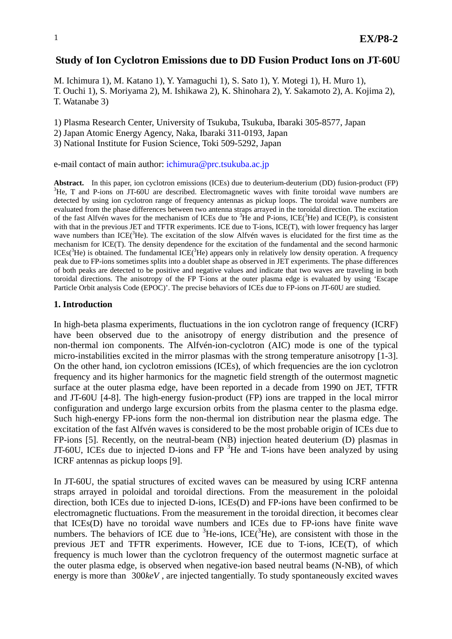## **Study of Ion Cyclotron Emissions due to DD Fusion Product Ions on JT-60U**

M. Ichimura 1), M. Katano 1), Y. Yamaguchi 1), S. Sato 1), Y. Motegi 1), H. Muro 1), T. Ouchi 1), S. Moriyama 2), M. Ishikawa 2), K. Shinohara 2), Y. Sakamoto 2), A. Kojima 2), T. Watanabe 3)

1) Plasma Research Center, University of Tsukuba, Tsukuba, Ibaraki 305-8577, Japan

2) Japan Atomic Energy Agency, Naka, Ibaraki 311-0193, Japan

3) National Institute for Fusion Science, Toki 509-5292, Japan

e-mail contact of main author: ichimura@prc.tsukuba.ac.jp

**Abstract.** In this paper, ion cyclotron emissions (ICEs) due to deuterium-deuterium (DD) fusion-product (FP) 3 <sup>3</sup>He, T and P-ions on JT-60U are described. Electromagnetic waves with finite toroidal wave numbers are detected by using ion cyclotron range of frequency antennas as pickup loops. The toroidal wave numbers are evaluated from the phase differences between two antenna straps arrayed in the toroidal direction. The excitation of the fast Alfvén waves for the mechanism of ICEs due to  ${}^{3}$ He and P-ions, ICE( ${}^{3}$ He) and ICE(P), is consistent with that in the previous JET and TFTR experiments. ICE due to T-ions, ICE(T), with lower frequency has larger wave numbers than ICE(<sup>3</sup>He). The excitation of the slow Alfvén waves is elucidated for the first time as the mechanism for ICE(T). The density dependence for the excitation of the fundamental and the second harmonic  $ICEs(^{3}He)$  is obtained. The fundamental  $ICE(^{3}He)$  appears only in relatively low density operation. A frequency peak due to FP-ions sometimes splits into a doublet shape as observed in JET experiments. The phase differences of both peaks are detected to be positive and negative values and indicate that two waves are traveling in both toroidal directions. The anisotropy of the FP T-ions at the outer plasma edge is evaluated by using 'Escape Particle Orbit analysis Code (EPOC)'. The precise behaviors of ICEs due to FP-ions on JT-60U are studied.

### **1. Introduction**

In high-beta plasma experiments, fluctuations in the ion cyclotron range of frequency (ICRF) have been observed due to the anisotropy of energy distribution and the presence of non-thermal ion components. The Alfvén-ion-cyclotron (AIC) mode is one of the typical micro-instabilities excited in the mirror plasmas with the strong temperature anisotropy [1-3]. On the other hand, ion cyclotron emissions (ICEs), of which frequencies are the ion cyclotron frequency and its higher harmonics for the magnetic field strength of the outermost magnetic surface at the outer plasma edge, have been reported in a decade from 1990 on JET, TFTR and JT-60U [4-8]. The high-energy fusion-product (FP) ions are trapped in the local mirror configuration and undergo large excursion orbits from the plasma center to the plasma edge. Such high-energy FP-ions form the non-thermal ion distribution near the plasma edge. The excitation of the fast Alfvén waves is considered to be the most probable origin of ICEs due to FP-ions [5]. Recently, on the neutral-beam (NB) injection heated deuterium (D) plasmas in JT-60U, ICEs due to injected D-ions and  $FP<sup>3</sup>$ He and T-ions have been analyzed by using ICRF antennas as pickup loops [9].

In JT-60U, the spatial structures of excited waves can be measured by using ICRF antenna straps arrayed in poloidal and toroidal directions. From the measurement in the poloidal direction, both ICEs due to injected D-ions, ICEs(D) and FP-ions have been confirmed to be electromagnetic fluctuations. From the measurement in the toroidal direction, it becomes clear that ICEs(D) have no toroidal wave numbers and ICEs due to FP-ions have finite wave numbers. The behaviors of ICE due to  ${}^{3}$ He-ions, ICE( ${}^{3}$ He), are consistent with those in the previous JET and TFTR experiments. However, ICE due to T-ions, ICE(T), of which frequency is much lower than the cyclotron frequency of the outermost magnetic surface at the outer plasma edge, is observed when negative-ion based neutral beams (N-NB), of which energy is more than 300*keV*, are injected tangentially. To study spontaneously excited waves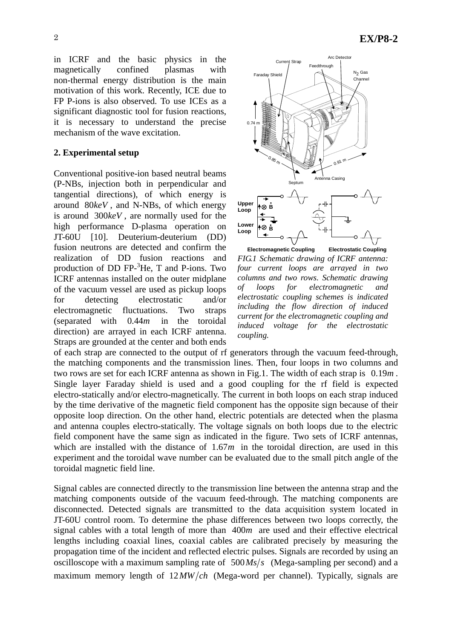in ICRF and the basic physics in the magnetically confined plasmas with non-thermal energy distribution is the main motivation of this work. Recently, ICE due to FP P-ions is also observed. To use ICEs as a significant diagnostic tool for fusion reactions, it is necessary to understand the precise mechanism of the wave excitation.

### **2. Experimental setup**

Conventional positive-ion based neutral beams (P-NBs, injection both in perpendicular and tangential directions), of which energy is around 80*keV* , and N-NBs, of which energy is around 300*keV* , are normally used for the high performance D-plasma operation on JT-60U [10]. Deuterium-deuterium (DD) fusion neutrons are detected and confirm the realization of DD fusion reactions and production of DD FP- ${}^{3}$ He, T and P-ions. Two ICRF antennas installed on the outer midplane of the vacuum vessel are used as pickup loops for detecting electrostatic and/or electromagnetic fluctuations. Two straps (separated with 0.44*m* in the toroidal direction) are arrayed in each ICRF antenna. Straps are grounded at the center and both ends



**Electromagnetic Coupling Electrostatic Coupling** *FIG.1 Schematic drawing of ICRF antenna: four current loops are arrayed in two columns and two rows. Schematic drawing of loops for electromagnetic and electrostatic coupling schemes is indicated including the flow direction of induced current for the electromagnetic coupling and induced voltage for the electrostatic coupling.* 

of each strap are connected to the output of rf generators through the vacuum feed-through, the matching components and the transmission lines. Then, four loops in two columns and two rows are set for each ICRF antenna as shown in Fig.1. The width of each strap is 0.19*m* . Single layer Faraday shield is used and a good coupling for the rf field is expected electro-statically and/or electro-magnetically. The current in both loops on each strap induced by the time derivative of the magnetic field component has the opposite sign because of their opposite loop direction. On the other hand, electric potentials are detected when the plasma and antenna couples electro-statically. The voltage signals on both loops due to the electric field component have the same sign as indicated in the figure. Two sets of ICRF antennas, which are installed with the distance of 1.67*m* in the toroidal direction, are used in this experiment and the toroidal wave number can be evaluated due to the small pitch angle of the toroidal magnetic field line.

Signal cables are connected directly to the transmission line between the antenna strap and the matching components outside of the vacuum feed-through. The matching components are disconnected. Detected signals are transmitted to the data acquisition system located in JT-60U control room. To determine the phase differences between two loops correctly, the signal cables with a total length of more than 400*m* are used and their effective electrical lengths including coaxial lines, coaxial cables are calibrated precisely by measuring the propagation time of the incident and reflected electric pulses. Signals are recorded by using an oscilloscope with a maximum sampling rate of  $500 Ms/s$  (Mega-sampling per second) and a maximum memory length of  $12MW/ch$  (Mega-word per channel). Typically, signals are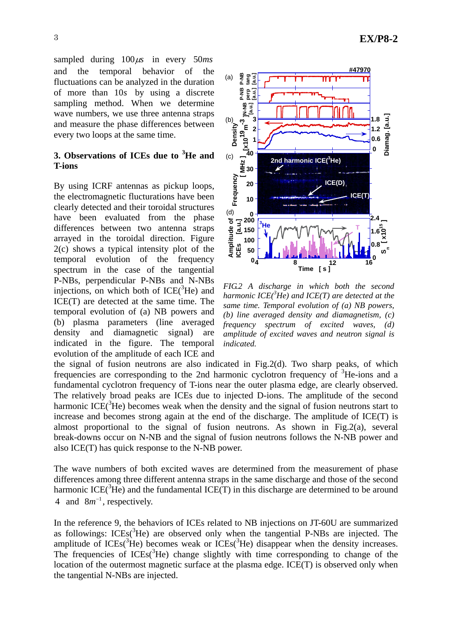sampled during  $100 \mu s$  in every 50*ms* and the temporal behavior of the fluctuations can be analyzed in the duration of more than 10*s* by using a discrete sampling method. When we determine wave numbers, we use three antenna straps and measure the phase differences between every two loops at the same time.

# **3. Observations of ICEs due to <sup>3</sup> He and T-ions**

By using ICRF antennas as pickup loops, the electromagnetic flucturations have been clearly detected and their toroidal structures have been evaluated from the phase differences between two antenna straps arrayed in the toroidal direction. Figure 2(c) shows a typical intensity plot of the temporal evolution of the frequency spectrum in the case of the tangential P-NBs, perpendicular P-NBs and N-NBs injections, on which both of  $ICE(^{3}He)$  and ICE(T) are detected at the same time. The temporal evolution of (a) NB powers and (b) plasma parameters (line averaged density and diamagnetic signal) are indicated in the figure. The temporal evolution of the amplitude of each ICE and



*FIG.2 A discharge in which both the second harmonic ICE(<sup>3</sup> He) and ICE(T) are detected at the same time. Temporal evolution of (a) NB powers, (b) line averaged density and diamagnetism, (c) frequency spectrum of excited waves, (d) amplitude of excited waves and neutron signal is indicated.*

the signal of fusion neutrons are also indicated in Fig.2(d). Two sharp peaks, of which frequencies are corresponding to the 2nd harmonic cyclotron frequency of <sup>3</sup>He-ions and a fundamental cyclotron frequency of T-ions near the outer plasma edge, are clearly observed. The relatively broad peaks are ICEs due to injected D-ions. The amplitude of the second harmonic ICE( ${}^{3}$ He) becomes weak when the density and the signal of fusion neutrons start to increase and becomes strong again at the end of the discharge. The amplitude of ICE(T) is almost proportional to the signal of fusion neutrons. As shown in Fig.2(a), several break-downs occur on N-NB and the signal of fusion neutrons follows the N-NB power and also ICE(T) has quick response to the N-NB power.

The wave numbers of both excited waves are determined from the measurement of phase differences among three different antenna straps in the same discharge and those of the second harmonic ICE( ${}^{3}$ He) and the fundamental ICE(T) in this discharge are determined to be around 4 and  $8m^{-1}$ , respectively.

In the reference 9, the behaviors of ICEs related to NB injections on JT-60U are summarized as followings:  $ICEs(^{3}He)$  are observed only when the tangential P-NBs are injected. The amplitude of ICEs( ${}^{3}$ He) becomes weak or ICEs( ${}^{3}$ He) disappear when the density increases. The frequencies of  $ICEs^{3}He$ ) change slightly with time corresponding to change of the location of the outermost magnetic surface at the plasma edge. ICE(T) is observed only when the tangential N-NBs are injected.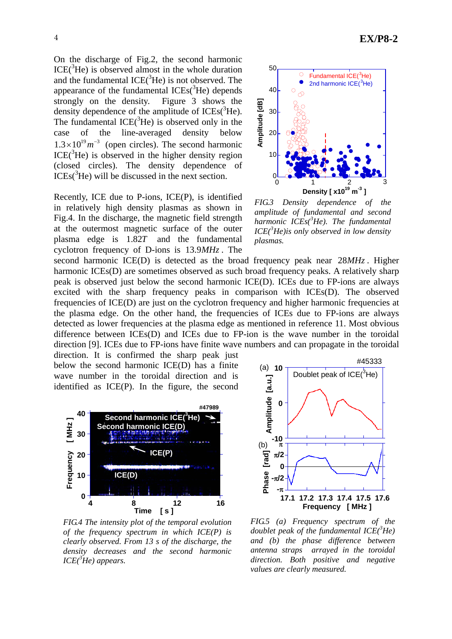On the discharge of Fig.2, the second harmonic  $ICE(^{3}He)$  is observed almost in the whole duration and the fundamental  $ICE(^{3}He)$  is not observed. The appearance of the fundamental  $ICEs({}^{3}He)$  depends strongly on the density. Figure 3 shows the density dependence of the amplitude of  $ICEs(^3He)$ . The fundamental  $ICE(^{3}He)$  is observed only in the case of the line-averaged density below  $1.3 \times 10^{19} m^{-3}$  (open circles). The second harmonic  $ICE(^{3}He)$  is observed in the higher density region (closed circles). The density dependence of  $ICEs<sup>3</sup>He$ ) will be discussed in the next section.

Recently, ICE due to P-ions, ICE(P), is identified in relatively high density plasmas as shown in Fig.4. In the discharge, the magnetic field strength at the outermost magnetic surface of the outer plasma edge is 1.82*T* and the fundamental cyclotron frequency of D-ions is 13.9*MHz* . The

second harmonic ICE(D) is detected as the broad frequency peak near 28*MHz* . Higher harmonic ICEs(D) are sometimes observed as such broad frequency peaks. A relatively sharp peak is observed just below the second harmonic ICE(D). ICEs due to FP-ions are always excited with the sharp frequency peaks in comparison with ICEs(D). The observed frequencies of ICE(D) are just on the cyclotron frequency and higher harmonic frequencies at the plasma edge. On the other hand, the frequencies of ICEs due to FP-ions are always detected as lower frequencies at the plasma edge as mentioned in reference 11. Most obvious difference between ICEs(D) and ICEs due to FP-ion is the wave number in the toroidal direction [9]. ICEs due to FP-ions have finite wave numbers and can propagate in the toroidal direction. It is confirmed the sharp peak just

below the second harmonic ICE(D) has a finite wave number in the toroidal direction and is identified as ICE(P). In the figure, the second



*FIG.4 The intensity plot of the temporal evolution of the frequency spectrum in which ICE(P) is clearly observed. From 13 s of the discharge, the density decreases and the second harmonic ICE(<sup>3</sup> He) appears.* 



*FIG.3 Density dependence of the amplitude of fundamental and second harmonic ICEs(<sup>3</sup> He). The fundamental ICE(<sup>3</sup> He)is only observed in low density plasmas.* 



*FIG.5 (a) Frequency spectrum of the doublet peak of the fundamental ICE(<sup>3</sup> He) and (b) the phase difference between antenna straps arrayed in the toroidal direction. Both positive and negative values are clearly measured.*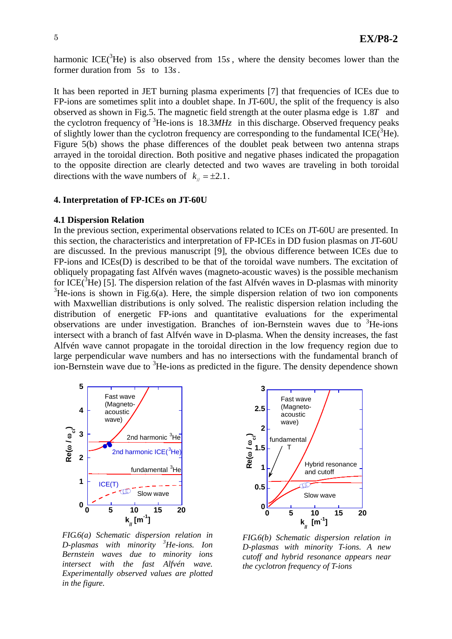harmonic ICE( ${}^{3}$ He) is also observed from 15s, where the density becomes lower than the former duration from 5*s* to 13*s*.

It has been reported in JET burning plasma experiments [7] that frequencies of ICEs due to FP-ions are sometimes split into a doublet shape. In JT-60U, the split of the frequency is also observed as shown in Fig.5. The magnetic field strength at the outer plasma edge is 1.8*T* and the cyclotron frequency of  ${}^{3}$ He-ions is 18.3*MHz* in this discharge. Observed frequency peaks of slightly lower than the cyclotron frequency are corresponding to the fundamental ICE $(\hat{ }^3$ He). Figure 5(b) shows the phase differences of the doublet peak between two antenna straps arrayed in the toroidal direction. Both positive and negative phases indicated the propagation to the opposite direction are clearly detected and two waves are traveling in both toroidal directions with the wave numbers of  $k_{\parallel} = \pm 2.1$ .

### **4. Interpretation of FP-ICEs on JT-60U**

#### **4.1 Dispersion Relation**

In the previous section, experimental observations related to ICEs on JT-60U are presented. In this section, the characteristics and interpretation of FP-ICEs in DD fusion plasmas on JT-60U are discussed. In the previous manuscript [9], the obvious difference between ICEs due to FP-ions and ICEs(D) is described to be that of the toroidal wave numbers. The excitation of obliquely propagating fast Alfvén waves (magneto-acoustic waves) is the possible mechanism for ICE( ${}^{3}$ He) [5]. The dispersion relation of the fast Alfvén waves in D-plasmas with minority  $3$ He-ions is shown in Fig.6(a). Here, the simple dispersion relation of two ion components with Maxwellian distributions is only solved. The realistic dispersion relation including the distribution of energetic FP-ions and quantitative evaluations for the experimental observations are under investigation. Branches of ion-Bernstein waves due to <sup>3</sup>He-ions intersect with a branch of fast Alfvén wave in D-plasma. When the density increases, the fast Alfvén wave cannot propagate in the toroidal direction in the low frequency region due to large perpendicular wave numbers and has no intersections with the fundamental branch of ion-Bernstein wave due to <sup>3</sup>He-ions as predicted in the figure. The density dependence shown



 *FIG.6(a) Schematic dispersion relation in D-plasmas with minority <sup>3</sup> He-ions. Ion Bernstein waves due to minority ions intersect with the fast Alfvén wave. Experimentally observed values are plotted in the figure.*



*FIG.6(b) Schematic dispersion relation in D-plasmas with minority T-ions. A new cutoff and hybrid resonance appears near the cyclotron frequency of T-ions*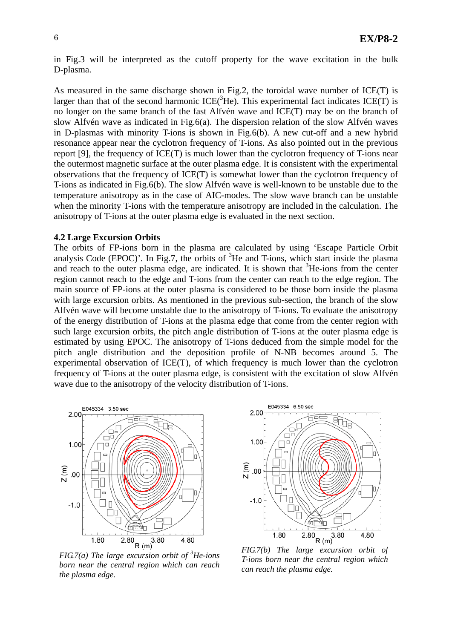in Fig.3 will be interpreted as the cutoff property for the wave excitation in the bulk D-plasma.

As measured in the same discharge shown in Fig.2, the toroidal wave number of ICE(T) is larger than that of the second harmonic  $ICE(^{3}He)$ . This experimental fact indicates  $ICE(T)$  is no longer on the same branch of the fast Alfvén wave and ICE(T) may be on the branch of slow Alfvén wave as indicated in Fig.6(a). The dispersion relation of the slow Alfvén waves in D-plasmas with minority T-ions is shown in Fig.6(b). A new cut-off and a new hybrid resonance appear near the cyclotron frequency of T-ions. As also pointed out in the previous report [9], the frequency of ICE(T) is much lower than the cyclotron frequency of T-ions near the outermost magnetic surface at the outer plasma edge. It is consistent with the experimental observations that the frequency of ICE(T) is somewhat lower than the cyclotron frequency of T-ions as indicated in Fig.6(b). The slow Alfvén wave is well-known to be unstable due to the temperature anisotropy as in the case of AIC-modes. The slow wave branch can be unstable when the minority T-ions with the temperature anisotropy are included in the calculation. The anisotropy of T-ions at the outer plasma edge is evaluated in the next section.

#### **4.2 Large Excursion Orbits**

The orbits of FP-ions born in the plasma are calculated by using 'Escape Particle Orbit analysis Code (EPOC)'. In Fig.7, the orbits of  ${}^{3}$ He and T-ions, which start inside the plasma and reach to the outer plasma edge, are indicated. It is shown that  ${}^{3}$ He-ions from the center region cannot reach to the edge and T-ions from the center can reach to the edge region. The main source of FP-ions at the outer plasma is considered to be those born inside the plasma with large excursion orbits. As mentioned in the previous sub-section, the branch of the slow Alfvén wave will become unstable due to the anisotropy of T-ions. To evaluate the anisotropy of the energy distribution of T-ions at the plasma edge that come from the center region with such large excursion orbits, the pitch angle distribution of T-ions at the outer plasma edge is estimated by using EPOC. The anisotropy of T-ions deduced from the simple model for the pitch angle distribution and the deposition profile of N-NB becomes around 5. The experimental observation of ICE(T), of which frequency is much lower than the cyclotron frequency of T-ions at the outer plasma edge, is consistent with the excitation of slow Alfvén wave due to the anisotropy of the velocity distribution of T-ions.



*FIG.7(a) The large excursion orbit of <sup>3</sup> He-ions born near the central region which can reach the plasma edge.* 



*FIG.7(b) The large excursion orbit of T-ions born near the central region which can reach the plasma edge.*